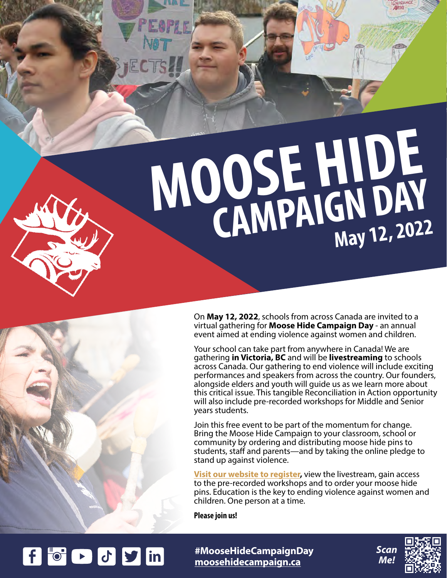**MOOSE HIDE CAMPAIGN DAY May 12, 2022**



f t c J y in

On **May 12, 2022**, schools from across Canada are invited to a virtual gathering for **Moose Hide Campaign Day** - an annual event aimed at ending violence against women and children.

Your school can take part from anywhere in Canada! We are gathering **in Victoria, BC** and will be **livestreaming** to schools across Canada. Our gathering to end violence will include exciting performances and speakers from across the country. Our founders, alongside elders and youth will guide us as we learn more about this critical issue. This tangible Reconciliation in Action opportunity will also include pre-recorded workshops for Middle and Senior years students.

Join this free event to be part of the momentum for change. Bring the Moose Hide Campaign to your classroom, school or community by ordering and distributing moose hide pins to students, staff and parents—and by taking the online pledge to stand up against violence.

**[Visit our website t](https://www.cognitoforms.com/MooseHideCampaign/MooseHideCampaignDay2022KTo12Journ%C3%A9eDeLaCampagneMooseHide2022M%C3%80La12eOuAuC%C3%89GEP)o register,** view the livestream, gain access to the pre-recorded workshops and to order your moose hide pins. Education is the key to ending violence against women and children. One person at a time.

**Please join us!**

**[moosehidecampaign.ca](http://moosehidecampaign.ca) [#](http://#FastToEndViolence)MooseHideCampaignDay**



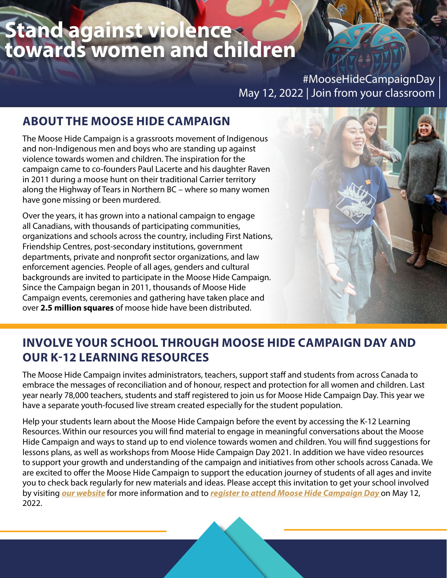## **Stand against violence towards women and children**

#MooseHideCampaignDay May 12, 2022 | Join from your classroom  $\vert$ 

#### **ABOUT THE MOOSE HIDE CAMPAIGN**

The Moose Hide Campaign is a grassroots movement of Indigenous and non-Indigenous men and boys who are standing up against violence towards women and children. The inspiration for the campaign came to co-founders Paul Lacerte and his daughter Raven in 2011 during a moose hunt on their traditional Carrier territory along the Highway of Tears in Northern BC – where so many women have gone missing or been murdered.

Over the years, it has grown into a national campaign to engage all Canadians, with thousands of participating communities, organizations and schools across the country, including First Nations, Friendship Centres, post-secondary institutions, government departments, private and nonprofit sector organizations, and law enforcement agencies. People of all ages, genders and cultural backgrounds are invited to participate in the Moose Hide Campaign. Since the Campaign began in 2011, thousands of Moose Hide Campaign events, ceremonies and gathering have taken place and over **2.5 million squares** of moose hide have been distributed.



#### **INVOLVE YOUR SCHOOL THROUGH MOOSE HIDE CAMPAIGN DAY AND OUR K-12 LEARNING RESOURCES**

The Moose Hide Campaign invites administrators, teachers, support staff and students from across Canada to embrace the messages of reconciliation and of honour, respect and protection for all women and children. Last year nearly 78,000 teachers, students and staff registered to join us for Moose Hide Campaign Day. This year we have a separate youth-focused live stream created especially for the student population.

Help your students learn about the Moose Hide Campaign before the event by accessing the K-12 Learning Resources. Within our resources you will find material to engage in meaningful conversations about the Moose Hide Campaign and ways to stand up to end violence towards women and children. You will find suggestions for lessons plans, as well as workshops from Moose Hide Campaign Day 2021. In addition we have video resources to support your growth and understanding of the campaign and initiatives from other schools across Canada. We are excited to offer the Moose Hide Campaign to support the education journey of students of all ages and invite you to check back regularly for new materials and ideas. Please accept this invitation to get your school involved by visiting *[our website](https://moosehidecampaign.ca/get-involved/k-12-education-platform)* for more information and to *[register to attend Moose Hide Campaign Day](https://www.cognitoforms.com/MooseHideCampaign/MooseHideCampaignDay2022KTo12Journ%C3%A9eDeLaCampagneMooseHide2022M%C3%80La12eOuAuC%C3%89GEP)* on May 12, 2022.